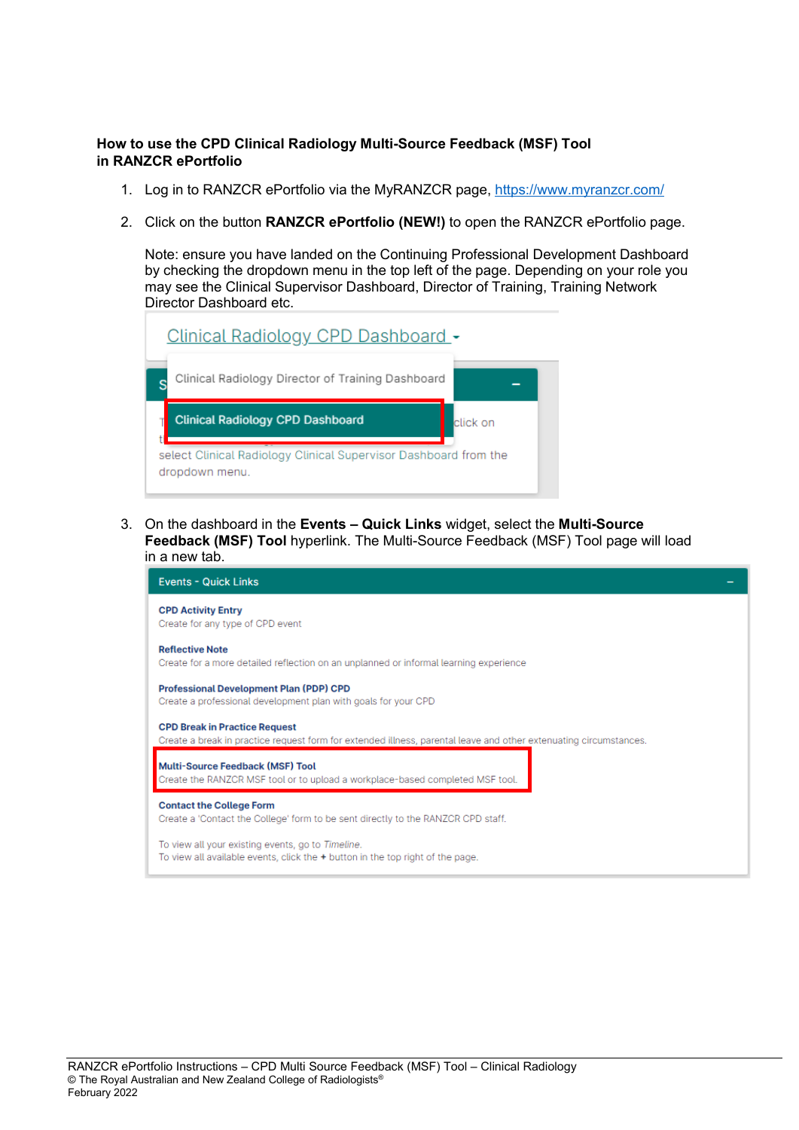## **How to use the CPD Clinical Radiology Multi-Source Feedback (MSF) Tool in RANZCR ePortfolio**

- 1. Log in to RANZCR ePortfolio via the MyRANZCR page,<https://www.myranzcr.com/>
- 2. Click on the button **RANZCR ePortfolio (NEW!)** to open the RANZCR ePortfolio page.

Note: ensure you have landed on the Continuing Professional Development Dashboard by checking the dropdown menu in the top left of the page. Depending on your role you may see the Clinical Supervisor Dashboard, Director of Training, Training Network Director Dashboard etc.

| <u>Clinical Radiology CPD Dashboard -</u>         |          |
|---------------------------------------------------|----------|
| Clinical Radiology Director of Training Dashboard |          |
|                                                   |          |
| <b>Clinical Radiology CPD Dashboard</b>           | click on |

3. On the dashboard in the **Events – Quick Links** widget, select the **Multi-Source Feedback (MSF) Tool** hyperlink. The Multi-Source Feedback (MSF) Tool page will load in a new tab.

| <b>Events - Quick Links</b>                                                                                                                               |
|-----------------------------------------------------------------------------------------------------------------------------------------------------------|
| <b>CPD Activity Entry</b><br>Create for any type of CPD event                                                                                             |
| <b>Reflective Note</b><br>Create for a more detailed reflection on an unplanned or informal learning experience                                           |
| <b>Professional Development Plan (PDP) CPD</b><br>Create a professional development plan with goals for your CPD                                          |
| <b>CPD Break in Practice Request</b><br>Create a break in practice request form for extended illness, parental leave and other extenuating circumstances. |
| <b>Multi-Source Feedback (MSF) Tool</b><br>Create the RANZCR MSF tool or to upload a workplace-based completed MSF tool.                                  |
| <b>Contact the College Form</b><br>Create a 'Contact the College' form to be sent directly to the RANZCR CPD staff.                                       |
| To view all your existing events, go to Timeline.<br>To view all available events, click the + button in the top right of the page.                       |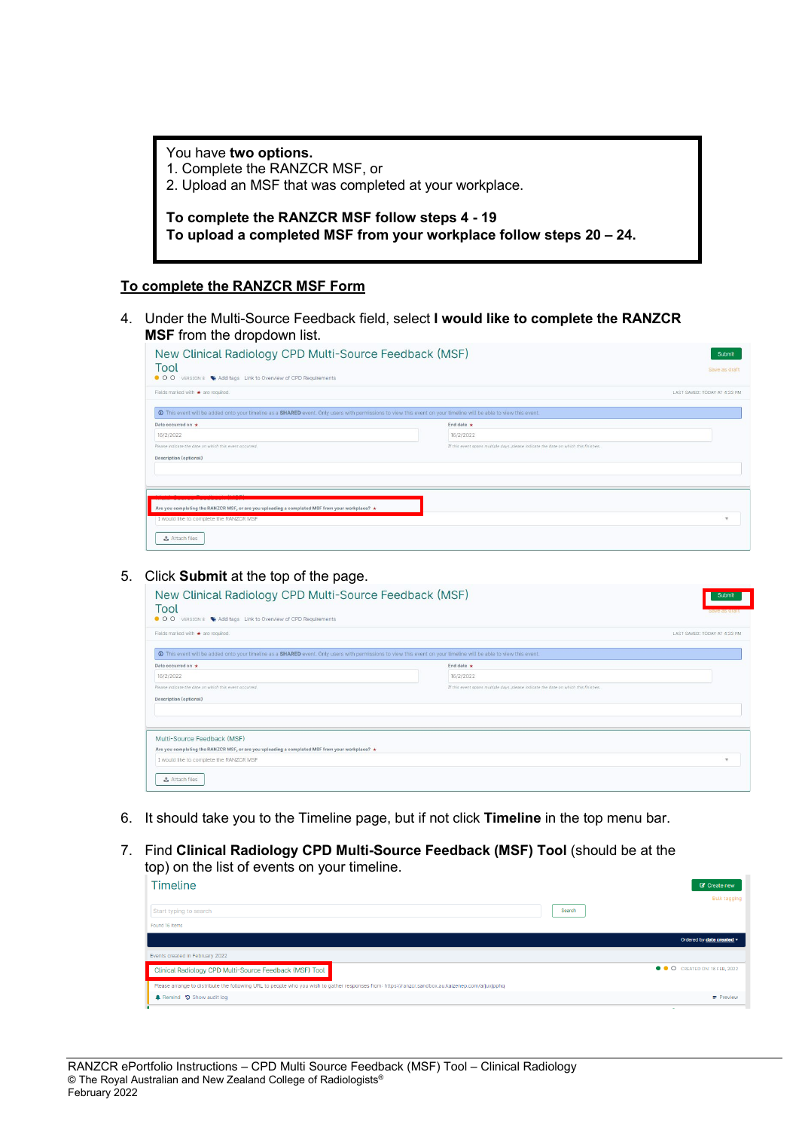| You have two options.<br>1. Complete the RANZCR MSF, or<br>2. Upload an MSF that was completed at your workplace.     |
|-----------------------------------------------------------------------------------------------------------------------|
| To complete the RANZCR MSF follow steps 4 - 19<br>To upload a completed MSF from your workplace follow steps 20 – 24. |

## **To complete the RANZCR MSF Form**

4. Under the Multi-Source Feedback field, select **I would like to complete the RANZCR MSF** from the dropdown list.

| New Clinical Radiology CPD Multi-Source Feedback (MSF)<br>Tool<br>$\bullet$ 00<br>VERSION 8 Add tags Link to Overview of CPD Requirements                                    |                                                                                     | Submit<br>Save as draft      |
|------------------------------------------------------------------------------------------------------------------------------------------------------------------------------|-------------------------------------------------------------------------------------|------------------------------|
| Fields marked with * are required.                                                                                                                                           |                                                                                     | LAST SAVED: TODAY AT 4:33 PM |
| <sup>O</sup> This event will be added onto your timeline as a SHARED event. Only users with permissions to view this event on your timeline will be able to view this event. |                                                                                     |                              |
| Date occurred on *                                                                                                                                                           | End date $\star$                                                                    |                              |
| 16/2/2022                                                                                                                                                                    | 16/2/2022                                                                           |                              |
| Please indicate the date on which this event occurred.                                                                                                                       | If this event spans multiple days, please indicate the date on which this finishes. |                              |
| <b>Description (optional)</b>                                                                                                                                                |                                                                                     |                              |
|                                                                                                                                                                              |                                                                                     |                              |
|                                                                                                                                                                              |                                                                                     |                              |
| $1 - 1.1105$                                                                                                                                                                 |                                                                                     |                              |
| Are you completing the RANZCR MSF, or are you uploading a completed MSF from your workplace? $\star$                                                                         |                                                                                     |                              |
| I would like to complete the RANZCR MSF                                                                                                                                      |                                                                                     | $\rightarrow$                |
| & Attach files                                                                                                                                                               |                                                                                     |                              |

#### 5. Click **Submit** at the top of the page.

| New Clinical Radiology CPD Multi-Source Feedback (MSF)<br>Tool<br>$\bullet$ 00<br>VERSION 8 Add tags Link to Overview of CPD Requirements                                    |                                                                                     | Submit<br><b>Save as graft</b> |
|------------------------------------------------------------------------------------------------------------------------------------------------------------------------------|-------------------------------------------------------------------------------------|--------------------------------|
| Fields marked with * are required.                                                                                                                                           |                                                                                     | LAST SAVED: TODAY AT 4:33 PM   |
| <sup>O</sup> This event will be added onto your timeline as a SHARED event. Only users with permissions to view this event on your timeline will be able to view this event. |                                                                                     |                                |
| Date occurred on *                                                                                                                                                           | End date $\star$                                                                    |                                |
| 16/2/2022                                                                                                                                                                    | 16/2/2022                                                                           |                                |
| Please indicate the date on which this event occurred.                                                                                                                       | If this event spans multiple days, please indicate the date on which this finishes. |                                |
| <b>Description (optional)</b>                                                                                                                                                |                                                                                     |                                |
|                                                                                                                                                                              |                                                                                     |                                |
|                                                                                                                                                                              |                                                                                     |                                |
| Multi-Source Feedback (MSF)                                                                                                                                                  |                                                                                     |                                |
| Are you completing the RANZCR MSF, or are you uploading a completed MSF from your workplace? $\star$                                                                         |                                                                                     |                                |
| I would like to complete the RANZCR MSF                                                                                                                                      |                                                                                     | $\mathbf{v}$                   |
| <b>₹</b> Attach files                                                                                                                                                        |                                                                                     |                                |

- 6. It should take you to the Timeline page, but if not click **Timeline** in the top menu bar.
- 7. Find **Clinical Radiology CPD Multi-Source Feedback (MSF) Tool** (should be at the top) on the list of events on your timeline.

| <b>Timeline</b>                                                                                                                                   |        | Create new                          |
|---------------------------------------------------------------------------------------------------------------------------------------------------|--------|-------------------------------------|
|                                                                                                                                                   |        | Bulk tagging                        |
| Start typing to search                                                                                                                            | Search |                                     |
| Found 16 items                                                                                                                                    |        |                                     |
|                                                                                                                                                   |        | Ordered by date created -           |
| Events created in February 2022                                                                                                                   |        |                                     |
| Clinical Radiology CPD Multi-Source Feedback (MSF) Tool                                                                                           |        | <b>O O</b> CREATED ON: 16 FEB, 2022 |
| Please arrange to distribute the following URL to people who you wish to gather responses from: https://ranzcr.sandbox.au.kaizenep.com/a/juxjpphq |        |                                     |
| Remind 5 Show audit log                                                                                                                           |        | $\equiv$ Preview                    |
|                                                                                                                                                   |        |                                     |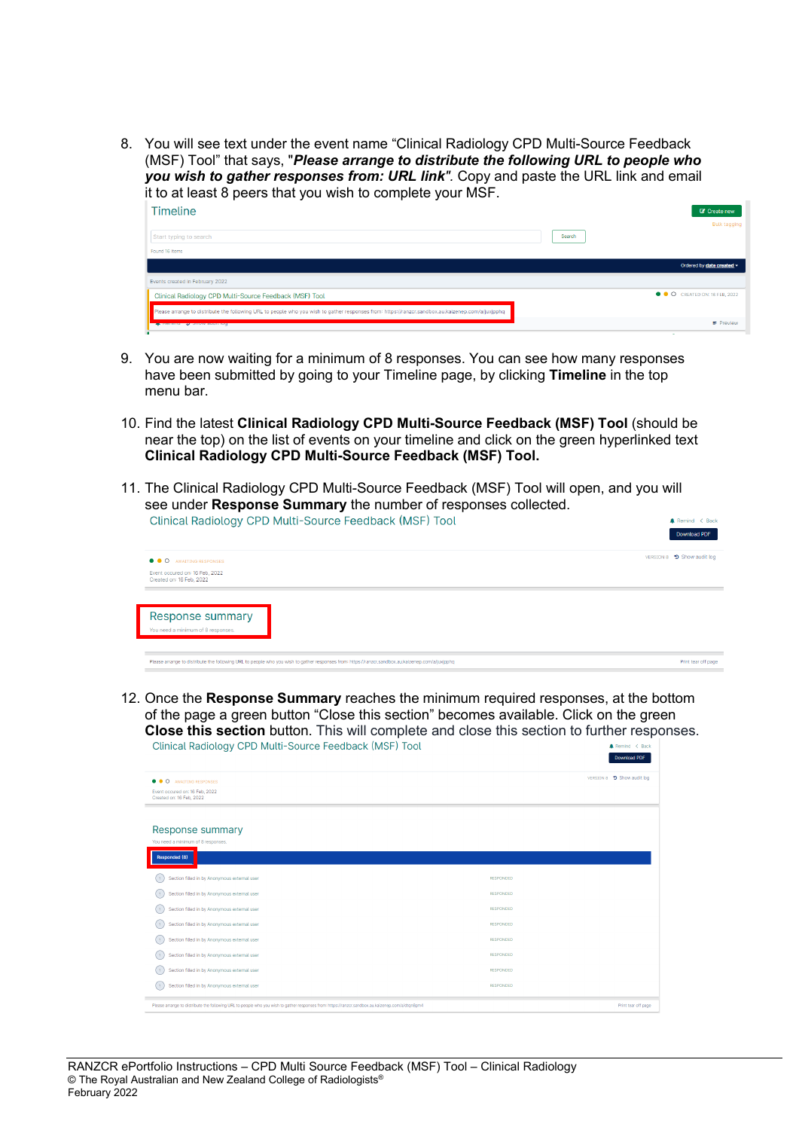8. You will see text under the event name "Clinical Radiology CPD Multi-Source Feedback (MSF) Tool" that says, "*Please arrange to distribute the following URL to people who you wish to gather responses from: URL link".* Copy and paste the URL link and email it to at least 8 peers that you wish to complete your MSF.  $Timeing$ 

| 1111 GUI 1 G                                                                                                                                      | <b>U</b> UICALCHEW                  |
|---------------------------------------------------------------------------------------------------------------------------------------------------|-------------------------------------|
|                                                                                                                                                   | <b>Bulk tagging</b>                 |
| Start typing to search                                                                                                                            | Search                              |
| Found 16 items                                                                                                                                    |                                     |
|                                                                                                                                                   | Ordered by date created -           |
| Events created in February 2022                                                                                                                   |                                     |
| Clinical Radiology CPD Multi-Source Feedback (MSF) Tool                                                                                           | <b>O O</b> CREATED ON: 16 FEB, 2022 |
| Please arrange to distribute the following URL to people who you wish to gather responses from: https://ranzcr.sandbox.au.kaizenep.com/a/juxipphg |                                     |
| <b>ALL INSTITUTION OF STILLING GALLERY ROLL</b>                                                                                                   | $\equiv$ Preview                    |

- 9. You are now waiting for a minimum of 8 responses. You can see how many responses have been submitted by going to your Timeline page, by clicking **Timeline** in the top menu bar.
- 10. Find the latest **Clinical Radiology CPD Multi-Source Feedback (MSF) Tool** (should be near the top) on the list of events on your timeline and click on the green hyperlinked text **Clinical Radiology CPD Multi-Source Feedback (MSF) Tool.**
- 11. The Clinical Radiology CPD Multi-Source Feedback (MSF) Tool will open, and you will see under **Response Summary** the number of responses collected.<br>Clinical Radiology CPD Multi-Source Feedback (MSF) Tool  $mind < Bi$ Download PDF

| $\bullet\bullet\circ$<br>AWAITING RESPONSES                | VERSION 8 9 Show audit log |
|------------------------------------------------------------|----------------------------|
| Event occured on: 16 Feb, 2022<br>Created on: 16 Feb, 2022 |                            |
|                                                            |                            |
|                                                            |                            |
| Response summary                                           |                            |
| You need a minimum of 8 responses.                         |                            |
|                                                            |                            |

12. Once the **Response Summary** reaches the minimum required responses, at the bottom of the page a green button "Close this section" becomes available. Click on the green **Close this section** button. This will complete and close this section to further responses.<br>Clinical Radiology CPD Multi-Source Feedback (MSF) Tool Download PDF

| AWAITING RESPONSES<br>$\bullet\bullet\circ$                                                                                                       |                  | VERSION 8 9 Show audit log |
|---------------------------------------------------------------------------------------------------------------------------------------------------|------------------|----------------------------|
| Event occured on: 16 Feb. 2022<br>Created on: 16 Feb, 2022                                                                                        |                  |                            |
|                                                                                                                                                   |                  |                            |
| Response summary                                                                                                                                  |                  |                            |
| You need a minimum of 8 responses.                                                                                                                |                  |                            |
| Responded (8)                                                                                                                                     |                  |                            |
| Section filled in by Anonymous external user<br>$\overline{?}$                                                                                    | <b>RESPONDED</b> |                            |
| Section filled in by Anonymous external user<br>$\overline{z}$                                                                                    | <b>RESPONDED</b> |                            |
| Section filled in by Anonymous external user<br>$\overline{z}$                                                                                    | <b>RESPONDED</b> |                            |
| Section filled in by Anonymous external user<br>$\overline{z}$                                                                                    | <b>RESPONDED</b> |                            |
| Section filled in by Anonymous external user<br>$\overline{2}$                                                                                    | <b>RESPONDED</b> |                            |
| Section filled in by Anonymous external user<br>$\overline{z}$                                                                                    | <b>RESPONDED</b> |                            |
| Section filled in by Anonymous external user<br>$\overline{z}$                                                                                    | <b>RESPONDED</b> |                            |
| Section filled in by Anonymous external user<br>$\mathbf{r}$                                                                                      | <b>RESPONDED</b> |                            |
| Please arrange to distribute the following URL to people who you wish to gather responses from: https://ranzcr.sandbox.au.kaizenep.com/a/dtqn8pm4 |                  |                            |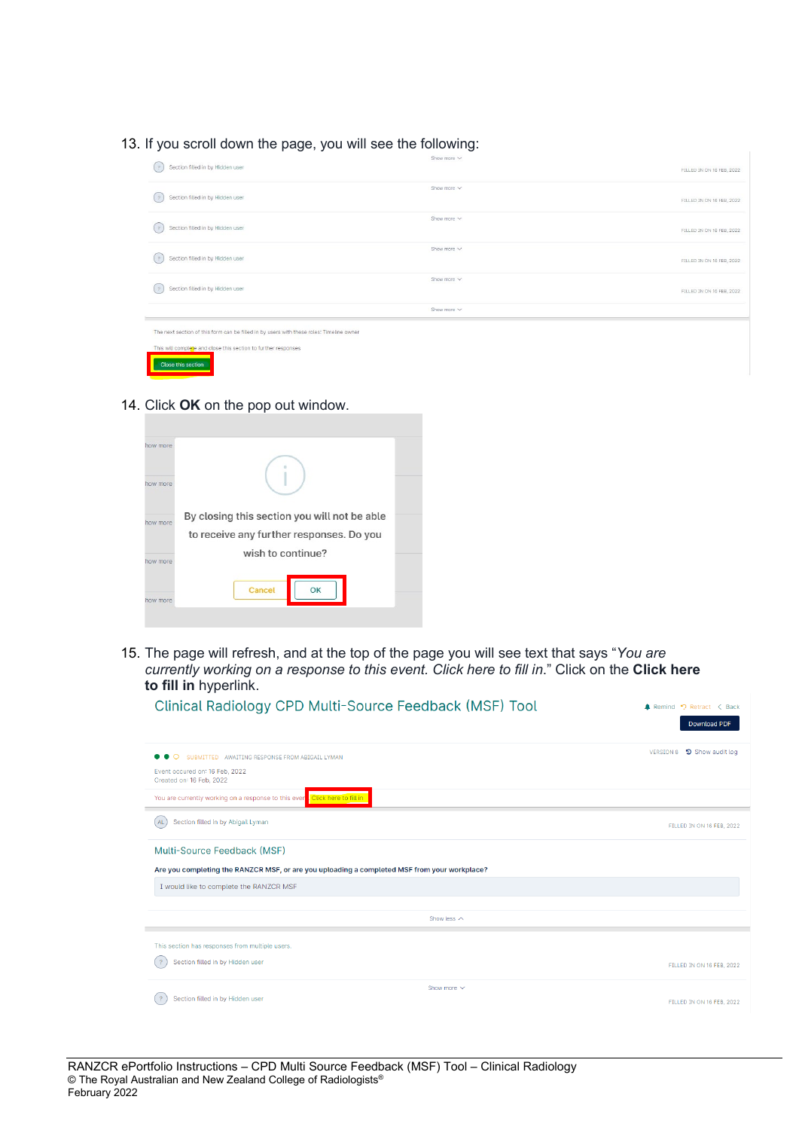13. If you scroll down the page, you will see the following:

| Section filled in by Hidden user<br>$\mathcal{P}$                                        | Show more $\vee$ | FILLED IN ON 16 FEB, 2022 |
|------------------------------------------------------------------------------------------|------------------|---------------------------|
| Section filled in by Hidden user<br>$^{2}$                                               | Show more $\vee$ | FILLED IN ON 16 FEB, 2022 |
| Section filled in by Hidden user<br>$\frac{9}{2}$                                        | Show more $\vee$ | FILLED IN ON 16 FEB, 2022 |
| Section filled in by Hidden user<br>$^{2}$                                               | Show more $\vee$ | FILLED IN ON 16 FEB, 2022 |
| Section filled in by Hidden user<br>$^{2}$                                               | Show more $\vee$ | FILLED IN ON 16 FEB, 2022 |
|                                                                                          | Show more $\vee$ |                           |
| The next section of this form can be filled in by users with these roles: Timeline owner |                  |                           |
| This will complete and close this section to further responses<br>______                 |                  |                           |

14. Click **OK** on the pop out window.

Close this section

| how more |                                              |  |
|----------|----------------------------------------------|--|
| how more |                                              |  |
| how more | By closing this section you will not be able |  |
|          | to receive any further responses. Do you     |  |
| how more | wish to continue?                            |  |
| how more | Cancel<br>OK                                 |  |
|          |                                              |  |

15. The page will refresh, and at the top of the page you will see text that says "*You are currently working on a response to this event. Click here to fill in*." Click on the **Click here to fill in** hyperlink.

| Clinical Radiology CPD Multi-Source Feedback (MSF) Tool                                                                                 | Remind P Retract < Back<br>Download PDF |
|-----------------------------------------------------------------------------------------------------------------------------------------|-----------------------------------------|
| ∩<br>SUBMITTED AWAITING RESPONSE FROM ABIGAIL LYMAN                                                                                     | VERSION 8 9 Show audit log              |
| Event occured on: 16 Feb, 2022<br>Created on: 16 Feb, 2022                                                                              |                                         |
| You are currently working on a response to this even Click here to fill in                                                              |                                         |
| Section filled in by Abigail Lyman<br>AL.                                                                                               | FILLED IN ON 16 FEB, 2022               |
| Are you completing the RANZCR MSF, or are you uploading a completed MSF from your workplace?<br>I would like to complete the RANZCR MSF |                                         |
| Show less $\wedge$                                                                                                                      |                                         |
| This section has responses from multiple users.                                                                                         |                                         |
| Section filled in by Hidden user<br>$\cdot$ ?                                                                                           | FILLED IN ON 16 FEB, 2022               |
| Show more $\vee$<br>Section filled in by Hidden user<br>-2                                                                              |                                         |
|                                                                                                                                         | FILLED IN ON 16 FEB, 2022               |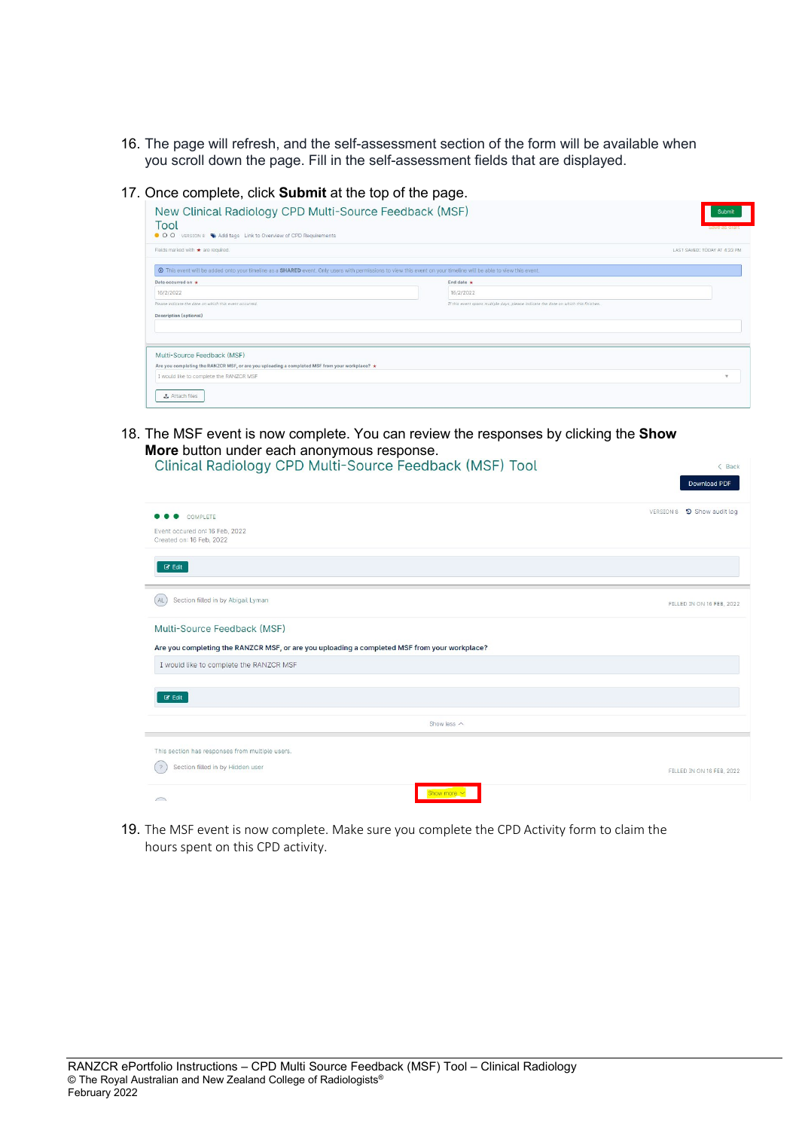- 16. The page will refresh, and the self-assessment section of the form will be available when you scroll down the page. Fill in the self-assessment fields that are displayed.
- 17. Once complete, click **Submit** at the top of the page.

| Fields marked with * are required.                                                                                                                              |                                                                                     | LAST SAVED: TODAY AT 4:33 PM |
|-----------------------------------------------------------------------------------------------------------------------------------------------------------------|-------------------------------------------------------------------------------------|------------------------------|
| This event will be added onto your timeline as a SHARED event. Only users with permissions to view this event on your timeline will be able to view this event. |                                                                                     |                              |
| Date occurred on *                                                                                                                                              | End date $\star$                                                                    |                              |
| 16/2/2022                                                                                                                                                       | 16/2/2022                                                                           |                              |
| Please indicate the date on which this event occurred.                                                                                                          | If this event spans multiple days, please indicate the date on which this finishes. |                              |
| <b>Description (optional)</b>                                                                                                                                   |                                                                                     |                              |
|                                                                                                                                                                 |                                                                                     |                              |
|                                                                                                                                                                 |                                                                                     |                              |
| Multi-Source Feedback (MSF)                                                                                                                                     |                                                                                     |                              |
| Are you completing the RANZCR MSF, or are you uploading a completed MSF from your workplace? $\star$                                                            |                                                                                     |                              |
|                                                                                                                                                                 |                                                                                     |                              |

18. The MSF event is now complete. You can review the responses by clicking the **Show More** button under each anonymous response.<br>Clinical Badialacy: CPD Multi-Source Eagdback (MSE) Tool

| Clinical Radiology CPD Multi-Source Feedback (MSF) Tool                                      | < Back<br>Download PDF     |
|----------------------------------------------------------------------------------------------|----------------------------|
| COMPLETE                                                                                     | VERSION 8 9 Show audit log |
| Event occured on: 16 Feb, 2022<br>Created on: 16 Feb, 2022                                   |                            |
| $C$ Edit                                                                                     |                            |
| Section filled in by Abigail Lyman<br>AL.                                                    | FILLED IN ON 16 FEB, 2022  |
| Multi-Source Feedback (MSF)                                                                  |                            |
| Are you completing the RANZCR MSF, or are you uploading a completed MSF from your workplace? |                            |
| I would like to complete the RANZCR MSF                                                      |                            |
| $C$ Edit                                                                                     |                            |
| Show less $\wedge$                                                                           |                            |
| This section has responses from multiple users.                                              |                            |
| Section filled in by Hidden user<br>$\frac{2}{3}$                                            | FILLED IN ON 16 FEB, 2022  |
| Show more $\vee$<br>$\bigcap$                                                                |                            |

19. The MSF event is now complete. Make sure you complete the CPD Activity form to claim the hours spent on this CPD activity.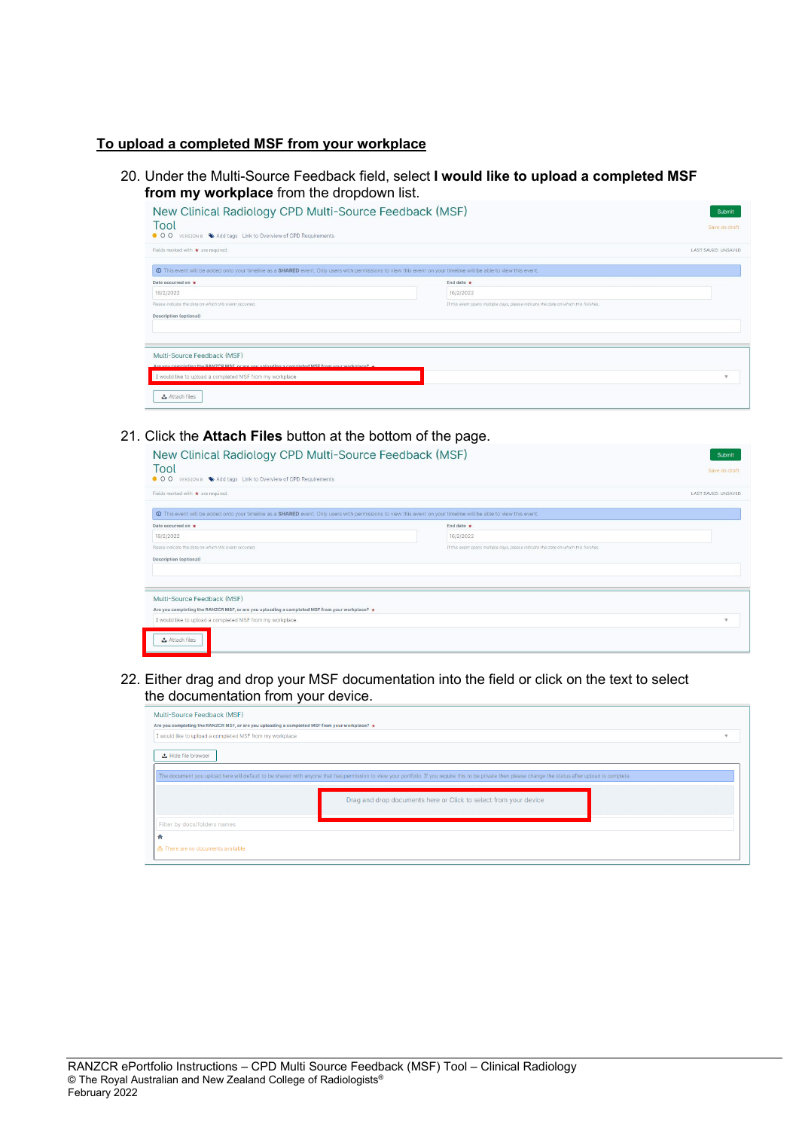## **To upload a completed MSF from your workplace**

20. Under the Multi-Source Feedback field, select **I would like to upload a completed MSF from my workplace** from the dropdown list.

| New Clinical Radiology CPD Multi-Source Feedback (MSF)<br>Tool<br>O O VERSION 8 Add tags Link to Overview of CPD Requirements                                     |                                                                                     | Submit<br>Save as draft |
|-------------------------------------------------------------------------------------------------------------------------------------------------------------------|-------------------------------------------------------------------------------------|-------------------------|
| Fields marked with * are required.                                                                                                                                |                                                                                     | LAST SAVED: UNSAVED     |
| O This event will be added onto your timeline as a SHARED event. Only users with permissions to view this event on your timeline will be able to view this event. |                                                                                     |                         |
| Date occurred on +                                                                                                                                                | End date $\star$                                                                    |                         |
| 16/2/2022                                                                                                                                                         | 16/2/2022                                                                           |                         |
| Please indicate the date on which this event occurred.                                                                                                            | If this event spans multiple days, please indicate the date on which this finishes. |                         |
| <b>Description (optional)</b>                                                                                                                                     |                                                                                     |                         |
|                                                                                                                                                                   |                                                                                     |                         |
|                                                                                                                                                                   |                                                                                     |                         |
| Multi-Source Feedback (MSF)                                                                                                                                       |                                                                                     |                         |
| Are you completing the RANZCR MSE or are you uploading a completed MSE from your workplace? $\div$                                                                |                                                                                     |                         |
| I would like to upload a completed MSF from my workplace.                                                                                                         |                                                                                     | $\mathbf{v}$            |
| <b>こ</b> Attach files                                                                                                                                             |                                                                                     |                         |

# 21. Click the **Attach Files** button at the bottom of the page.

| New Clinical Radiology CPD Multi-Source Feedback (MSF)<br>Tool<br>$\bullet$ 00<br>VERSION 8 Add tags Link to Overview of CPD Requirements                         |                                                                                     | Submit<br>Save as draft |
|-------------------------------------------------------------------------------------------------------------------------------------------------------------------|-------------------------------------------------------------------------------------|-------------------------|
| Fields marked with * are required.                                                                                                                                |                                                                                     | LAST SAVED: UNSAVED     |
| O This event will be added onto your timeline as a SHARED event. Only users with permissions to view this event on your timeline will be able to view this event. |                                                                                     |                         |
| Date occurred on +                                                                                                                                                | End date $\div$                                                                     |                         |
| 16/2/2022                                                                                                                                                         | 16/2/2022                                                                           |                         |
| Please indicate the date on which this event occurred.                                                                                                            | If this event spans multiple days, please indicate the date on which this finishes. |                         |
| <b>Description (optional)</b>                                                                                                                                     |                                                                                     |                         |
|                                                                                                                                                                   |                                                                                     |                         |
| Multi-Source Feedback (MSF)                                                                                                                                       |                                                                                     |                         |
| Are you completing the RANZCR MSF, or are you uploading a completed MSF from your workplace? $\star$                                                              |                                                                                     |                         |
| I would like to upload a completed MSF from my workplace.                                                                                                         |                                                                                     | $\mathbf{v}$            |
| & Attach files                                                                                                                                                    |                                                                                     |                         |

22. Either drag and drop your MSF documentation into the field or click on the text to select the documentation from your device.

| Multi-Source Feedback (MSF)<br>Are you completing the RANZCR MSF, or are you uploading a completed MSF from your workplace? ★                                                                            |                                                                  |  |
|----------------------------------------------------------------------------------------------------------------------------------------------------------------------------------------------------------|------------------------------------------------------------------|--|
| I would like to upload a completed MSF from my workplace                                                                                                                                                 |                                                                  |  |
| <b>△</b> Hide file browser                                                                                                                                                                               |                                                                  |  |
| The document you upload here will default to be shared with anyone that has permission to view your portfolio. If you require this to be private then please change the status after upload is complete. |                                                                  |  |
|                                                                                                                                                                                                          | Drag and drop documents here or Click to select from your device |  |
| Filter by docs/folders names                                                                                                                                                                             |                                                                  |  |
| ÷<br>A There are no documents available.                                                                                                                                                                 |                                                                  |  |